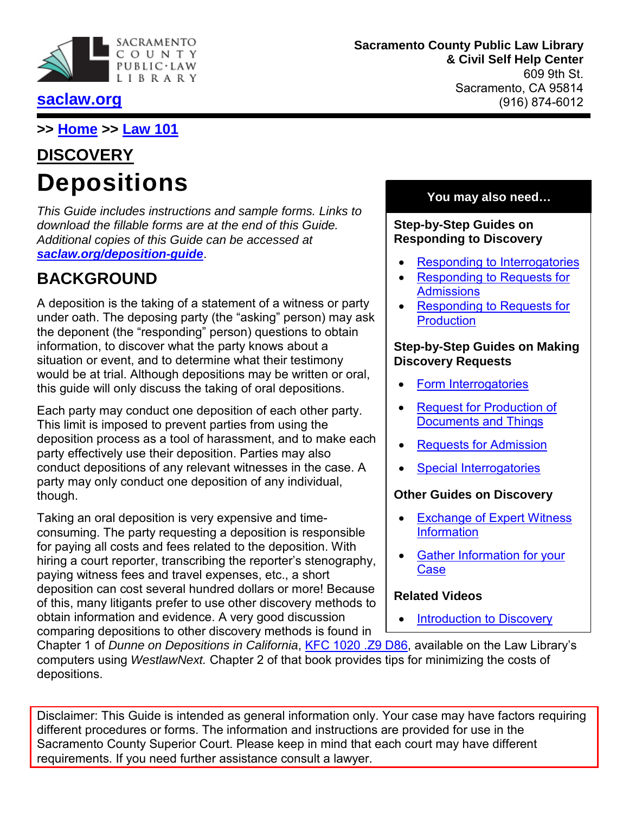

## **[saclaw.org](https://saclaw.org/)**

**Sacramento County Public Law Library & Civil Self Help Center** 609 9th St. Sacramento, CA 95814 (916) 874-6012

**>> [Home](https://saclaw.org/) >> [Law 101](https://saclaw.org/law-101/)**

# **DISCOVERY Depositions**

*This Guide includes instructions and sample forms. Links to download the fillable forms are at the end of this Guide. Additional copies of this Guide can be accessed at [saclaw.org/deposition-guide](https://saclaw.org/deposition-guide)*.

# **BACKGROUND**

A deposition is the taking of a statement of a witness or party under oath. The deposing party (the "asking" person) may ask the deponent (the "responding" person) questions to obtain information, to discover what the party knows about a situation or event, and to determine what their testimony would be at trial. Although depositions may be written or oral, this guide will only discuss the taking of oral depositions.

Each party may conduct one deposition of each other party. This limit is imposed to prevent parties from using the deposition process as a tool of harassment, and to make each party effectively use their deposition. Parties may also conduct depositions of any relevant witnesses in the case. A party may only conduct one deposition of any individual, though.

Taking an oral deposition is very expensive and timeconsuming. The party requesting a deposition is responsible for paying all costs and fees related to the deposition. With hiring a court reporter, transcribing the reporter's stenography, paying witness fees and travel expenses, etc., a short deposition can cost several hundred dollars or more! Because of this, many litigants prefer to use other discovery methods to obtain information and evidence. A very good discussion comparing depositions to other discovery methods is found in

## **You may also need…**

#### **Step-by-Step Guides on Responding to Discovery**

- **[Responding to Interrogatories](https://saclaw.org/respond-rogs)**
- [Responding to Requests for](https://saclaw.org/wp-content/uploads/sbs-discovery-reponding-to-requests-for-admission.pdf) **[Admissions](https://saclaw.org/wp-content/uploads/sbs-discovery-reponding-to-requests-for-admission.pdf)**
- [Responding to Requests for](https://saclaw.org/respond-req-production) **[Production](https://saclaw.org/respond-req-production)**

#### **Step-by-Step Guides on Making Discovery Requests**

- [Form Interrogatories](https://saclaw.org/form-rogs)
- [Request for Production of](https://saclaw.org/wp-content/uploads/sbs-discovery-request-for-production-of-documents-or-things.pdf) [Documents and](https://saclaw.org/wp-content/uploads/sbs-discovery-request-for-production-of-documents-or-things.pdf) Things
- [Requests for Admission](https://saclaw.org/wp-content/uploads/sbs-discovery-requests-for-admission.pdf)
- [Special Interrogatories](https://saclaw.org/wp-content/uploads/sbs-discovery-special-interrogatories.pdf)

### **Other Guides on Discovery**

- [Exchange of Expert Witness](https://saclaw.org/wp-content/uploads/sbs-discovery-exchange-of-expert-witness-information.pdf)  [Information](https://saclaw.org/wp-content/uploads/sbs-discovery-exchange-of-expert-witness-information.pdf)
- [Gather Information for your](https://saclaw.org/wp-content/uploads/lrg-discovery-gather-information-for-your-case.pdf) **[Case](https://saclaw.org/wp-content/uploads/lrg-discovery-gather-information-for-your-case.pdf)**

### **Related Videos**

**[Introduction to Discovery](https://saclaw.org/law-101/discovery-video-series/)** 

Chapter 1 of *Dunne on Depositions in California*, [KFC 1020 .Z9 D86,](https://catalog.saclaw.org/cgi-bin/koha/opac-detail.pl?biblionumber=1089) available on the Law Library's computers using *WestlawNext.* Chapter 2 of that book provides tips for minimizing the costs of depositions.

Disclaimer: This Guide is intended as general information only. Your case may have factors requiring different procedures or forms. The information and instructions are provided for use in the Sacramento County Superior Court. Please keep in mind that each court may have different requirements. If you need further assistance consult a lawyer.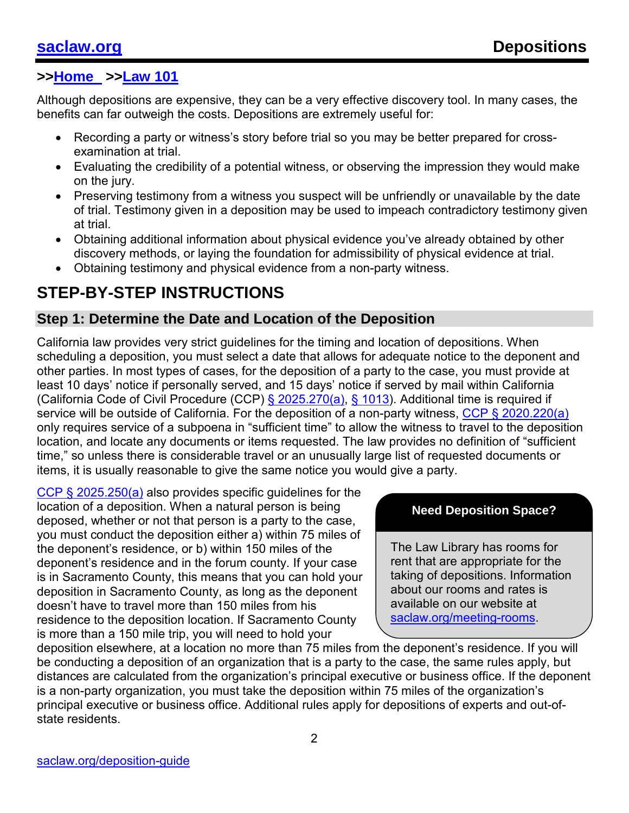Although depositions are expensive, they can be a very effective discovery tool. In many cases, the benefits can far outweigh the costs. Depositions are extremely useful for:

- Recording a party or witness's story before trial so you may be better prepared for crossexamination at trial.
- Evaluating the credibility of a potential witness, or observing the impression they would make on the jury.
- Preserving testimony from a witness you suspect will be unfriendly or unavailable by the date of trial. Testimony given in a deposition may be used to impeach contradictory testimony given at trial.
- Obtaining additional information about physical evidence you've already obtained by other discovery methods, or laying the foundation for admissibility of physical evidence at trial.
- Obtaining testimony and physical evidence from a non-party witness.

# **STEP-BY-STEP INSTRUCTIONS**

#### **Step 1: Determine the Date and Location of the Deposition**

California law provides very strict guidelines for the timing and location of depositions. When scheduling a deposition, you must select a date that allows for adequate notice to the deponent and other parties. In most types of cases, for the deposition of a party to the case, you must provide at least 10 days' notice if personally served, and 15 days' notice if served by mail within California (California Code of Civil Procedure (CCP) [§ 2025.270\(a\),](http://leginfo.legislature.ca.gov/faces/codes_displaySection.xhtml?lawCode=CCP§ionNum=2025.270.) [§ 1013\)](http://leginfo.legislature.ca.gov/faces/codes_displaySection.xhtml?lawCode=CCP§ionNum=1013.). Additional time is required if service will be outside of California. For the deposition of a non-party witness, [CCP § 2020.220\(a\)](http://leginfo.legislature.ca.gov/faces/codes_displaySection.xhtml?lawCode=CCP§ionNum=2020.220.) only requires service of a subpoena in "sufficient time" to allow the witness to travel to the deposition location, and locate any documents or items requested. The law provides no definition of "sufficient time," so unless there is considerable travel or an unusually large list of requested documents or items, it is usually reasonable to give the same notice you would give a party.

[CCP § 2025.250\(a\)](http://leginfo.legislature.ca.gov/faces/codes_displaySection.xhtml?lawCode=CCP§ionNum=2025.250.) also provides specific quidelines for the location of a deposition. When a natural person is being deposed, whether or not that person is a party to the case, you must conduct the deposition either a) within 75 miles of the deponent's residence, or b) within 150 miles of the deponent's residence and in the forum county. If your case is in Sacramento County, this means that you can hold your deposition in Sacramento County, as long as the deponent doesn't have to travel more than 150 miles from his residence to the deposition location. If Sacramento County is more than a 150 mile trip, you will need to hold your

#### **Need Deposition Space?**

The Law Library has rooms for rent that are appropriate for the taking of depositions. Information about our rooms and rates is available on our website at [saclaw.org/meeting-rooms.](https://saclaw.org/meeting-rooms)

deposition elsewhere, at a location no more than 75 miles from the deponent's residence. If you will be conducting a deposition of an organization that is a party to the case, the same rules apply, but distances are calculated from the organization's principal executive or business office. If the deponent is a non-party organization, you must take the deposition within 75 miles of the organization's principal executive or business office. Additional rules apply for depositions of experts and out-ofstate residents.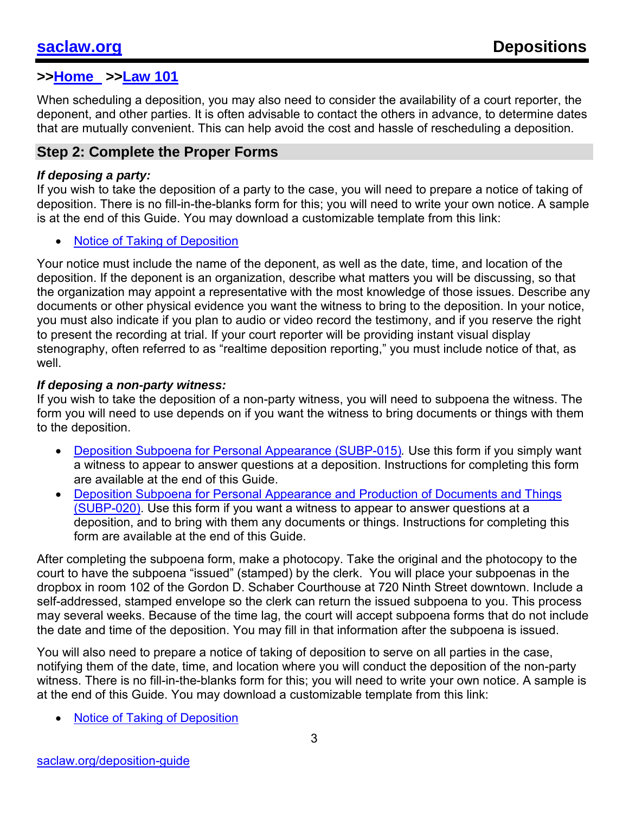When scheduling a deposition, you may also need to consider the availability of a court reporter, the deponent, and other parties. It is often advisable to contact the others in advance, to determine dates that are mutually convenient. This can help avoid the cost and hassle of rescheduling a deposition.

#### **Step 2: Complete the Proper Forms**

#### *If deposing a party:*

If you wish to take the deposition of a party to the case, you will need to prepare a notice of taking of deposition. There is no fill-in-the-blanks form for this; you will need to write your own notice. A sample is at the end of this Guide. You may download a customizable template from this link:

**[Notice of Taking of Deposition](https://saclaw.org/Uploads/files/Step-by-Step/notice-deposition.rtf)** 

Your notice must include the name of the deponent, as well as the date, time, and location of the deposition. If the deponent is an organization, describe what matters you will be discussing, so that the organization may appoint a representative with the most knowledge of those issues. Describe any documents or other physical evidence you want the witness to bring to the deposition. In your notice, you must also indicate if you plan to audio or video record the testimony, and if you reserve the right to present the recording at trial. If your court reporter will be providing instant visual display stenography, often referred to as "realtime deposition reporting," you must include notice of that, as well.

#### *If deposing a non-party witness:*

If you wish to take the deposition of a non-party witness, you will need to subpoena the witness. The form you will need to use depends on if you want the witness to bring documents or things with them to the deposition.

- [Deposition Subpoena for Personal Appearance \(SUBP-015\)](http://www.courts.ca.gov/documents/subp015.pdf). Use this form if you simply want a witness to appear to answer questions at a deposition. Instructions for completing this form are available at the end of this Guide.
- [Deposition Subpoena for Personal Appearance and Production of Documents and Things](http://www.courts.ca.gov/documents/subp020.pdf) [\(SUBP-020\).](http://www.courts.ca.gov/documents/subp020.pdf) Use this form if you want a witness to appear to answer questions at a deposition, and to bring with them any documents or things. Instructions for completing this form are available at the end of this Guide.

After completing the subpoena form, make a photocopy. Take the original and the photocopy to the court to have the subpoena "issued" (stamped) by the clerk. You will place your subpoenas in the dropbox in room 102 of the Gordon D. Schaber Courthouse at 720 Ninth Street downtown. Include a self-addressed, stamped envelope so the clerk can return the issued subpoena to you. This process may several weeks. Because of the time lag, the court will accept subpoena forms that do not include the date and time of the deposition. You may fill in that information after the subpoena is issued.

You will also need to prepare a notice of taking of deposition to serve on all parties in the case, notifying them of the date, time, and location where you will conduct the deposition of the non-party witness. There is no fill-in-the-blanks form for this; you will need to write your own notice. A sample is at the end of this Guide. You may download a customizable template from this link:

• [Notice of Taking of Deposition](https://saclaw.org/Uploads/files/Step-by-Step/notice-deposition.rtf)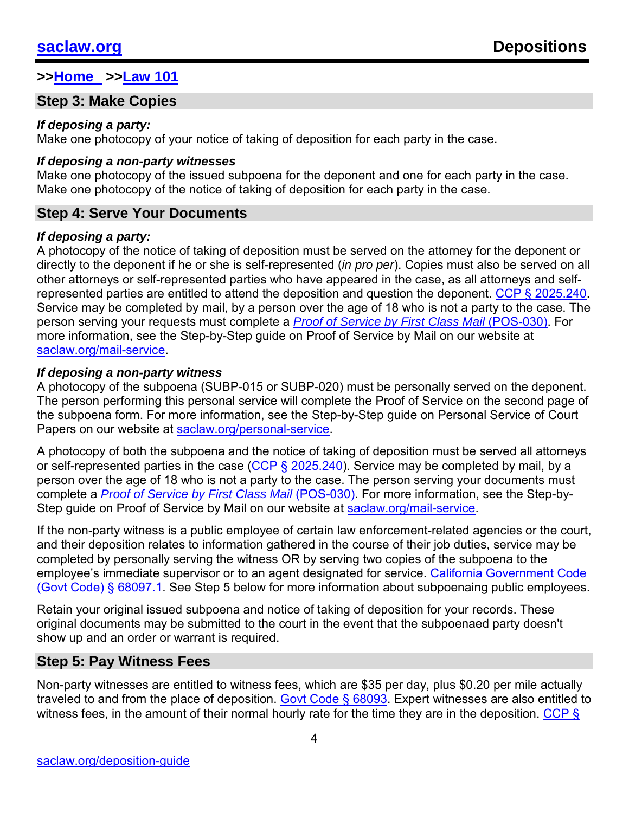### **Step 3: Make Copies**

#### *If deposing a party:*

Make one photocopy of your notice of taking of deposition for each party in the case.

#### *If deposing a non-party witnesses*

Make one photocopy of the issued subpoena for the deponent and one for each party in the case. Make one photocopy of the notice of taking of deposition for each party in the case.

### **Step 4: Serve Your Documents**

#### *If deposing a party:*

A photocopy of the notice of taking of deposition must be served on the attorney for the deponent or directly to the deponent if he or she is self-represented (*in pro per*). Copies must also be served on all other attorneys or self-represented parties who have appeared in the case, as all attorneys and self-represented parties are entitled to attend the deposition and question the deponent. [CCP § 2025.240.](http://leginfo.legislature.ca.gov/faces/codes_displaySection.xhtml?lawCode=CCP§ionNum=2025.240.) Service may be completed by mail, by a person over the age of 18 who is not a party to the case. The person serving your requests must complete a *[Proof of Service by First Class Mail](http://www.courts.ca.gov/documents/pos030.pdf)* (POS-030). For more information, see the Step-by-Step guide on Proof of Service by Mail on our website at [saclaw.org/mail-service.](https://saclaw.org/mail-service)

#### *If deposing a non-party witness*

A photocopy of the subpoena (SUBP-015 or SUBP-020) must be personally served on the deponent. The person performing this personal service will complete the Proof of Service on the second page of the subpoena form. For more information, see the Step-by-Step guide on Personal Service of Court Papers on our website at [saclaw.org/personal-service.](https://saclaw.org/personal-service)

A photocopy of both the subpoena and the notice of taking of deposition must be served all attorneys or self-represented parties in the case [\(CCP § 2025.240\)](http://leginfo.legislature.ca.gov/faces/codes_displaySection.xhtml?lawCode=CCP§ionNum=2025.240.). Service may be completed by mail, by a person over the age of 18 who is not a party to the case. The person serving your documents must complete a *[Proof of Service by First Class Mail](http://www.courts.ca.gov/documents/pos030.pdf)* (POS-030). For more information, see the Step-by-Step guide on Proof of Service by Mail on our website at [saclaw.org/mail-service.](https://saclaw.org/mail-service)

If the non-party witness is a public employee of certain law enforcement-related agencies or the court, and their deposition relates to information gathered in the course of their job duties, service may be completed by personally serving the witness OR by serving two copies of the subpoena to the employee's immediate supervisor or to an agent designated for service. [California Government Code](http://leginfo.legislature.ca.gov/faces/codes_displaySection.xhtml?lawCode=GOV§ionNum=68097.1.)  [\(Govt Code\) § 68097.1.](http://leginfo.legislature.ca.gov/faces/codes_displaySection.xhtml?lawCode=GOV§ionNum=68097.1.) See Step 5 below for more information about subpoenaing public employees.

Retain your original issued subpoena and notice of taking of deposition for your records. These original documents may be submitted to the court in the event that the subpoenaed party doesn't show up and an order or warrant is required.

### **Step 5: Pay Witness Fees**

Non-party witnesses are entitled to witness fees, which are \$35 per day, plus \$0.20 per mile actually traveled to and from the place of deposition. [Govt Code § 68093.](http://leginfo.legislature.ca.gov/faces/codes_displaySection.xhtml?lawCode=GOV§ionNum=68093.) Expert witnesses are also entitled to witness fees, in the amount of their normal hourly rate for the time they are in the deposition. CCP §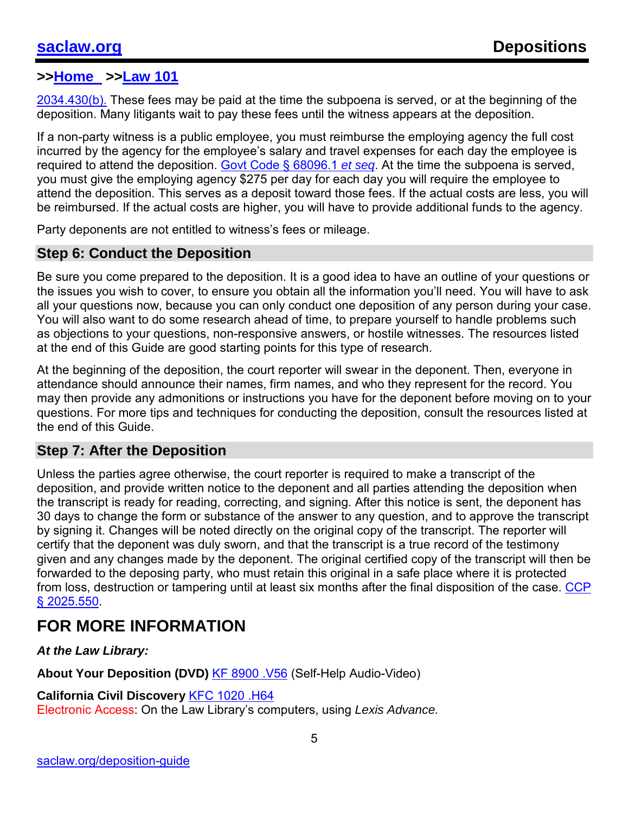[2034.430\(b\).](http://leginfo.legislature.ca.gov/faces/codes_displaySection.xhtml?lawCode=CCP§ionNum=2034.430.) These fees may be paid at the time the subpoena is served, or at the beginning of the deposition. Many litigants wait to pay these fees until the witness appears at the deposition.

If a non-party witness is a public employee, you must reimburse the employing agency the full cost incurred by the agency for the employee's salary and travel expenses for each day the employee is required to attend the deposition. [Govt Code § 68096.1](http://leginfo.legislature.ca.gov/faces/codes_displaySection.xhtml?lawCode=GOV§ionNum=68096.1.) *et seq*. At the time the subpoena is served, you must give the employing agency \$275 per day for each day you will require the employee to attend the deposition. This serves as a deposit toward those fees. If the actual costs are less, you will be reimbursed. If the actual costs are higher, you will have to provide additional funds to the agency.

Party deponents are not entitled to witness's fees or mileage.

#### **Step 6: Conduct the Deposition**

Be sure you come prepared to the deposition. It is a good idea to have an outline of your questions or the issues you wish to cover, to ensure you obtain all the information you'll need. You will have to ask all your questions now, because you can only conduct one deposition of any person during your case. You will also want to do some research ahead of time, to prepare yourself to handle problems such as objections to your questions, non-responsive answers, or hostile witnesses. The resources listed at the end of this Guide are good starting points for this type of research.

At the beginning of the deposition, the court reporter will swear in the deponent. Then, everyone in attendance should announce their names, firm names, and who they represent for the record. You may then provide any admonitions or instructions you have for the deponent before moving on to your questions. For more tips and techniques for conducting the deposition, consult the resources listed at the end of this Guide.

#### **Step 7: After the Deposition**

Unless the parties agree otherwise, the court reporter is required to make a transcript of the deposition, and provide written notice to the deponent and all parties attending the deposition when the transcript is ready for reading, correcting, and signing. After this notice is sent, the deponent has 30 days to change the form or substance of the answer to any question, and to approve the transcript by signing it. Changes will be noted directly on the original copy of the transcript. The reporter will certify that the deponent was duly sworn, and that the transcript is a true record of the testimony given and any changes made by the deponent. The original certified copy of the transcript will then be forwarded to the deposing party, who must retain this original in a safe place where it is protected from loss, destruction or tampering until at least six months after the final disposition of the case. [CCP](http://leginfo.legislature.ca.gov/faces/codes_displaySection.xhtml?lawCode=CCP§ionNum=2025.550.)  § [2025.550.](http://leginfo.legislature.ca.gov/faces/codes_displaySection.xhtml?lawCode=CCP§ionNum=2025.550.)

# **FOR MORE INFORMATION**

*At the Law Library:* 

About Your Deposition (DVD) [KF 8900 .V56](https://catalog.saclaw.org/cgi-bin/koha/opac-detail.pl?biblionumber=1389) (Self-Help Audio-Video)

#### **California Civil Discovery** [KFC 1020 .H64](https://catalog.saclaw.org/cgi-bin/koha/opac-detail.pl?biblionumber=1027)

Electronic Access: On the Law Library's computers, using *Lexis Advance.*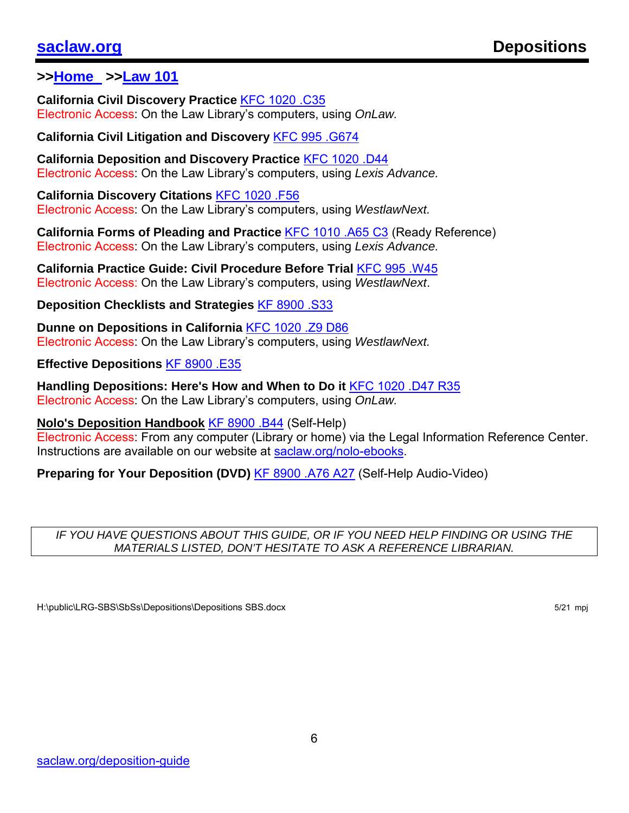**California Civil Discovery Practice** [KFC 1020 .C35](https://catalog.saclaw.org/cgi-bin/koha/opac-detail.pl?biblionumber=1093) Electronic Access: On the Law Library's computers, using *OnLaw.*

**California Civil Litigation and Discovery** [KFC 995 .G674](https://catalog.saclaw.org/cgi-bin/koha/opac-detail.pl?biblionumber=5657)

**California Deposition and Discovery Practice** [KFC 1020 .D44](https://catalog.saclaw.org/cgi-bin/koha/opac-detail.pl?biblionumber=6)  Electronic Access: On the Law Library's computers, using *Lexis Advance.*

**California Discovery Citations** [KFC 1020 .F56](https://catalog.saclaw.org/cgi-bin/koha/opac-detail.pl?biblionumber=1697)  Electronic Access: On the Law Library's computers, using *WestlawNext.*

**California Forms of Pleading and Practice** [KFC 1010 .A65 C3](https://catalog.saclaw.org/cgi-bin/koha/opac-detail.pl?biblionumber=7) (Ready Reference) Electronic Access: On the Law Library's computers, using *Lexis Advance.*

**California Practice Guide: Civil Procedure Before Trial** [KFC 995 .W45](https://catalog.saclaw.org/cgi-bin/koha/opac-detail.pl?biblionumber=12) Electronic Access: On the Law Library's computers, using *WestlawNext*.

**Deposition Checklists and Strategies** [KF 8900 .S33](https://catalog.saclaw.org/cgi-bin/koha/opac-detail.pl?biblionumber=1418)

**Dunne on Depositions in California** [KFC 1020 .Z9 D86](https://catalog.saclaw.org/cgi-bin/koha/opac-detail.pl?biblionumber=1089) Electronic Access: On the Law Library's computers, using *WestlawNext.*

**Effective Depositions** [KF 8900 .E35](https://catalog.saclaw.org/cgi-bin/koha/opac-detail.pl?biblionumber=1759)

**Handling Depositions: Here's How and When to Do it** [KFC 1020 .D47 R35](https://catalog.saclaw.org/cgi-bin/koha/opac-detail.pl?biblionumber=5777) Electronic Access: On the Law Library's computers, using *OnLaw.*

**Nolo's Deposition Handbook** [KF 8900 .B44](https://catalog.saclaw.org/cgi-bin/koha/opac-detail.pl?biblionumber=5349) (Self-Help)

Electronic Access: From any computer (Library or home) via the Legal Information Reference Center. Instructions are available on our website at [saclaw.org/nolo-ebooks.](https://saclaw.org/nolo-ebooks)

**Preparing for Your Deposition (DVD)** [KF 8900 .A76 A27](https://catalog.saclaw.org/cgi-bin/koha/opac-detail.pl?biblionumber=1373) (Self-Help Audio-Video)

#### *IF YOU HAVE QUESTIONS ABOUT THIS GUIDE, OR IF YOU NEED HELP FINDING OR USING THE MATERIALS LISTED, DON'T HESITATE TO ASK A REFERENCE LIBRARIAN.*

H:\public\LRG-SBS\SbSs\Depositions\Depositions SBS.docx 5/21 mpj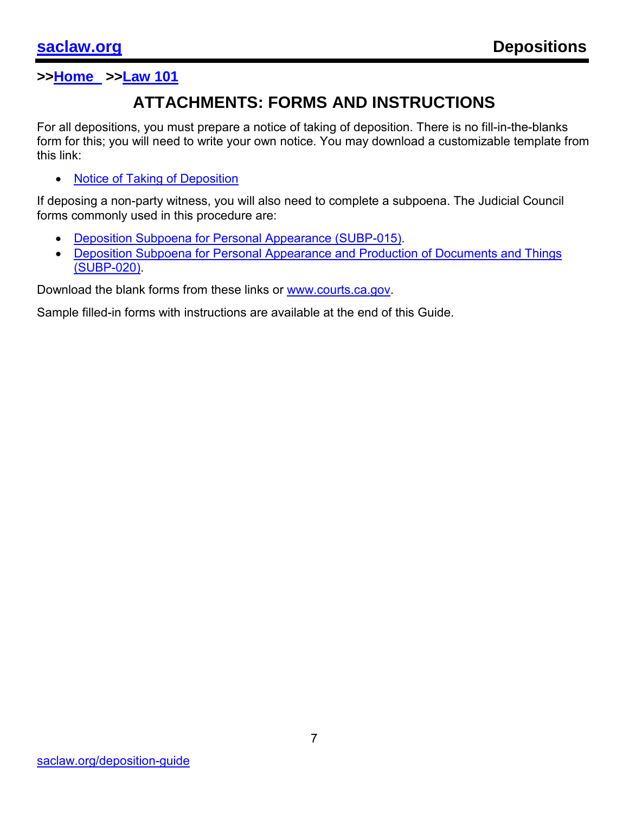# **ATTACHMENTS: FORMS AND INSTRUCTIONS**

For all depositions, you must prepare a notice of taking of deposition. There is no fill-in-the-blanks form for this; you will need to write your own notice. You may download a customizable template from this link:

• [Notice of Taking of Deposition](https://saclaw.org/Uploads/files/Step-by-Step/notice-deposition.rtf)

If deposing a non-party witness, you will also need to complete a subpoena. The Judicial Council forms commonly used in this procedure are:

- [Deposition Subpoena for Personal Appearance \(SUBP-015\).](http://www.courts.ca.gov/documents/subp015.pdf)
- [Deposition Subpoena for Personal Appearance and Production of Documents and Things](http://www.courts.ca.gov/documents/subp020.pdf) [\(SUBP-020\).](http://www.courts.ca.gov/documents/subp020.pdf)

Download the blank forms from these links or [www.courts.ca.gov.](http://www.courts.ca.gov/)

Sample filled-in forms with instructions are available at the end of this Guide.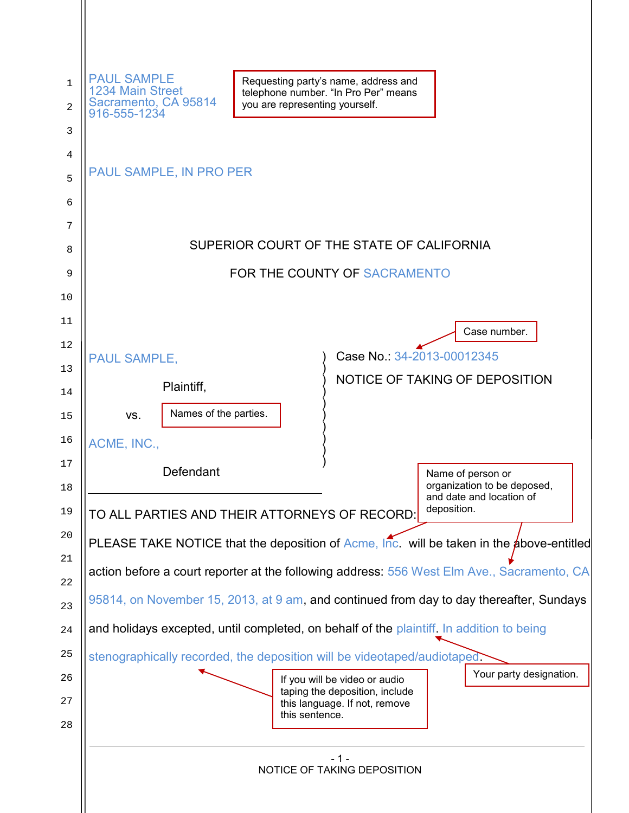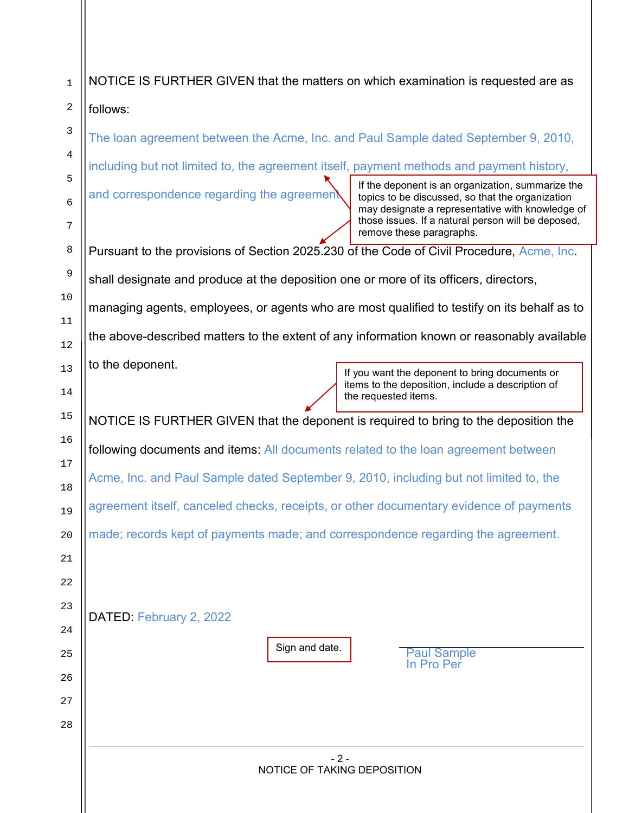| 1            | NOTICE IS FURTHER GIVEN that the matters on which examination is requested are as                                                                                                                                                                             |  |  |  |  |  |  |  |
|--------------|---------------------------------------------------------------------------------------------------------------------------------------------------------------------------------------------------------------------------------------------------------------|--|--|--|--|--|--|--|
| 2            | follows:                                                                                                                                                                                                                                                      |  |  |  |  |  |  |  |
| 3            | The loan agreement between the Acme, Inc. and Paul Sample dated September 9, 2010,                                                                                                                                                                            |  |  |  |  |  |  |  |
| 4            | including but not limited to, the agreement itself, payment methods and payment history,                                                                                                                                                                      |  |  |  |  |  |  |  |
| 5<br>6       | If the deponent is an organization, summarize the<br>and correspondence regarding the agreement<br>topics to be discussed, so that the organization<br>may designate a representative with knowledge of<br>those issues. If a natural person will be deposed, |  |  |  |  |  |  |  |
| 7<br>8       | remove these paragraphs.                                                                                                                                                                                                                                      |  |  |  |  |  |  |  |
| 9            | Pursuant to the provisions of Section 2025.230 of the Code of Civil Procedure, Acme, Inc.                                                                                                                                                                     |  |  |  |  |  |  |  |
| 10           | shall designate and produce at the deposition one or more of its officers, directors,                                                                                                                                                                         |  |  |  |  |  |  |  |
| 11           | managing agents, employees, or agents who are most qualified to testify on its behalf as to                                                                                                                                                                   |  |  |  |  |  |  |  |
| 12           | the above-described matters to the extent of any information known or reasonably available                                                                                                                                                                    |  |  |  |  |  |  |  |
| 13           | to the deponent.<br>If you want the deponent to bring documents or                                                                                                                                                                                            |  |  |  |  |  |  |  |
| 14           | items to the deposition, include a description of<br>the requested items.                                                                                                                                                                                     |  |  |  |  |  |  |  |
| 15           | NOTICE IS FURTHER GIVEN that the deponent is required to bring to the deposition the                                                                                                                                                                          |  |  |  |  |  |  |  |
| 16           | following documents and items: All documents related to the loan agreement between                                                                                                                                                                            |  |  |  |  |  |  |  |
| 17           | Acme, Inc. and Paul Sample dated September 9, 2010, including but not limited to, the                                                                                                                                                                         |  |  |  |  |  |  |  |
| $18\,$<br>19 | agreement itself, canceled checks, receipts, or other documentary evidence of payments                                                                                                                                                                        |  |  |  |  |  |  |  |
| 20           | made; records kept of payments made; and correspondence regarding the agreement.                                                                                                                                                                              |  |  |  |  |  |  |  |
| 21           |                                                                                                                                                                                                                                                               |  |  |  |  |  |  |  |
| 22           |                                                                                                                                                                                                                                                               |  |  |  |  |  |  |  |
| 23           |                                                                                                                                                                                                                                                               |  |  |  |  |  |  |  |
| 24           | DATED: February 2, 2022                                                                                                                                                                                                                                       |  |  |  |  |  |  |  |
| 25           | Sign and date.<br><b>Paul Sample</b>                                                                                                                                                                                                                          |  |  |  |  |  |  |  |
| 26           | In Pro Per                                                                                                                                                                                                                                                    |  |  |  |  |  |  |  |
| 27           |                                                                                                                                                                                                                                                               |  |  |  |  |  |  |  |
| 28           |                                                                                                                                                                                                                                                               |  |  |  |  |  |  |  |
|              | $-2-$                                                                                                                                                                                                                                                         |  |  |  |  |  |  |  |
|              | NOTICE OF TAKING DEPOSITION                                                                                                                                                                                                                                   |  |  |  |  |  |  |  |
|              |                                                                                                                                                                                                                                                               |  |  |  |  |  |  |  |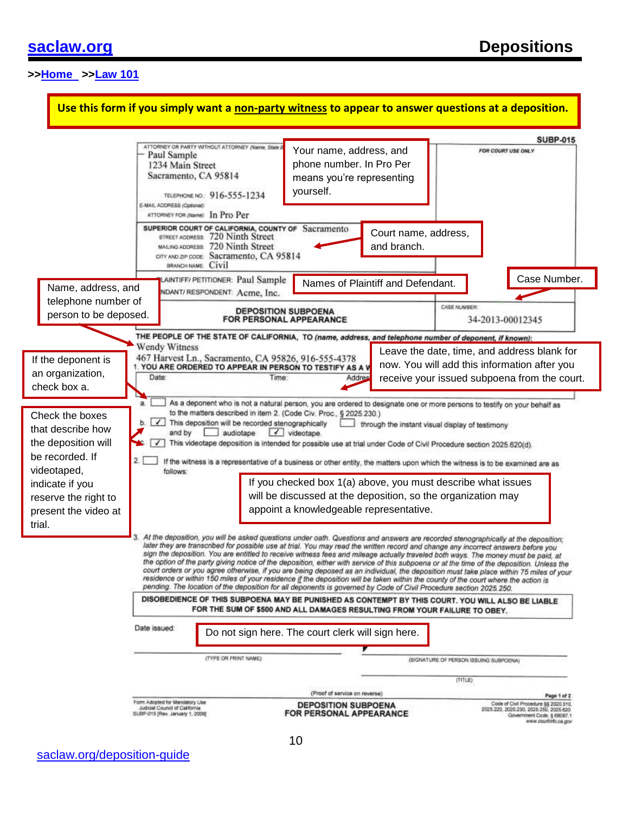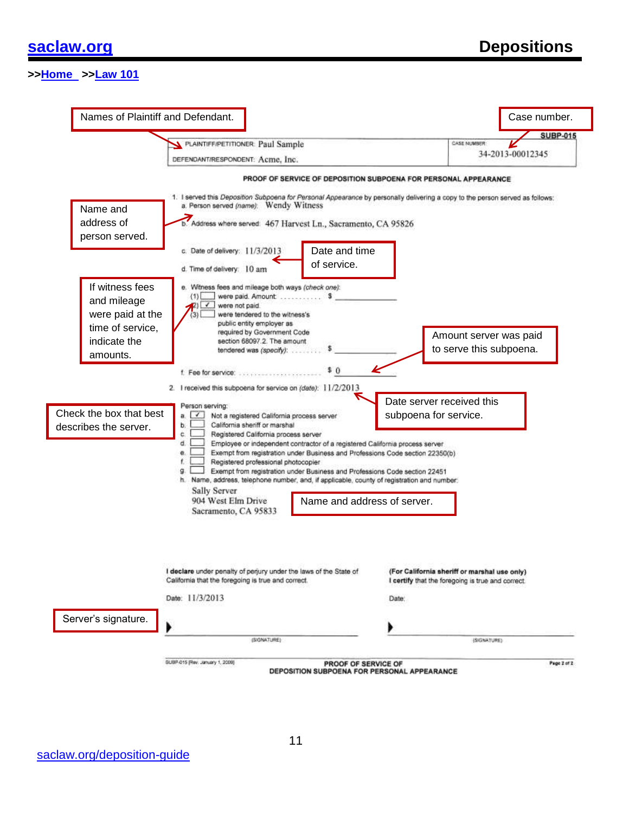|                                                                                                | Names of Plaintiff and Defendant.                                                                                                                                                                                                                                                                                                                                                            |                                                                                                                                                                                                                                                                            | Case number.                                                                                                                                                                                     |
|------------------------------------------------------------------------------------------------|----------------------------------------------------------------------------------------------------------------------------------------------------------------------------------------------------------------------------------------------------------------------------------------------------------------------------------------------------------------------------------------------|----------------------------------------------------------------------------------------------------------------------------------------------------------------------------------------------------------------------------------------------------------------------------|--------------------------------------------------------------------------------------------------------------------------------------------------------------------------------------------------|
|                                                                                                | PLAINTIFF/PETITIONER: Paul Sample                                                                                                                                                                                                                                                                                                                                                            |                                                                                                                                                                                                                                                                            | <b>SUBP-015</b><br><b>CASE NUMBER</b>                                                                                                                                                            |
|                                                                                                |                                                                                                                                                                                                                                                                                                                                                                                              |                                                                                                                                                                                                                                                                            | 34-2013-00012345                                                                                                                                                                                 |
|                                                                                                | DEFENDANT/RESPONDENT: Acme, Inc.                                                                                                                                                                                                                                                                                                                                                             |                                                                                                                                                                                                                                                                            |                                                                                                                                                                                                  |
| Name and<br>address of<br>person served.<br>If witness fees<br>and mileage<br>were paid at the | a. Person served (name): Wendy Witness<br>b. Address where served: 467 Harvest Ln., Sacramento, CA 95826<br>c. Date of delivery: 11/3/2013<br>d. Time of delivery: 10 am<br>e. Witness fees and mileage both ways (check one):<br>were paid. Amount<br>(1)<br>were not paid.<br>$\sqrt{2}$<br>were tendered to the witness's                                                                 | Date and time<br>of service.<br>s                                                                                                                                                                                                                                          | PROOF OF SERVICE OF DEPOSITION SUBPOENA FOR PERSONAL APPEARANCE<br>1. I served this Deposition Subpoena for Personal Appearance by personally delivering a copy to the person served as follows: |
| time of service,<br>indicate the<br>amounts.                                                   | public entity employer as<br>required by Government Code<br>section 68097.2. The amount<br>tendered was (specify):<br>f. Fee for service:                                                                                                                                                                                                                                                    | \$0                                                                                                                                                                                                                                                                        | Amount server was paid<br>to serve this subpoena.                                                                                                                                                |
| Check the box that best<br>describes the server.                                               | Person serving:<br>$\sqrt{2}$<br>a l<br>Not a registered California process server<br>California sheriff or marshal<br>ь.<br>ċ.<br>Registered California process server<br>d.<br>e.<br>Registered professional photocopier<br>g.<br>h. Name, address, telephone number, and, if applicable, county of registration and number:<br>Sally Server<br>904 West Elm Drive<br>Sacramento, CA 95833 | Employee or independent contractor of a registered California process server<br>Exempt from registration under Business and Professions Code section 22350(b)<br>Exempt from registration under Business and Professions Code section 22451<br>Name and address of server. | Date server received this<br>subpoena for service.                                                                                                                                               |
|                                                                                                | I declare under penalty of perjury under the laws of the State of<br>California that the foregoing is true and correct.                                                                                                                                                                                                                                                                      |                                                                                                                                                                                                                                                                            | (For California sheriff or marshal use only)<br>I certify that the foregoing is true and correct.                                                                                                |
| Server's signature.                                                                            | Date: 11/3/2013                                                                                                                                                                                                                                                                                                                                                                              | Date:                                                                                                                                                                                                                                                                      |                                                                                                                                                                                                  |
|                                                                                                | (BIGNATURE)                                                                                                                                                                                                                                                                                                                                                                                  |                                                                                                                                                                                                                                                                            | (SIGNATURE)                                                                                                                                                                                      |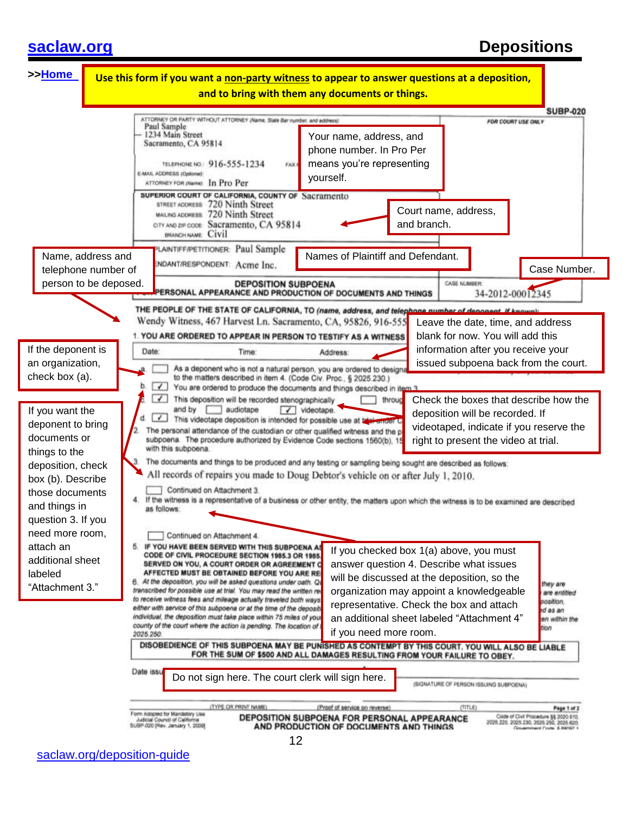# **[saclaw.org](https://saclaw.org/deposition-guide) Depositions**